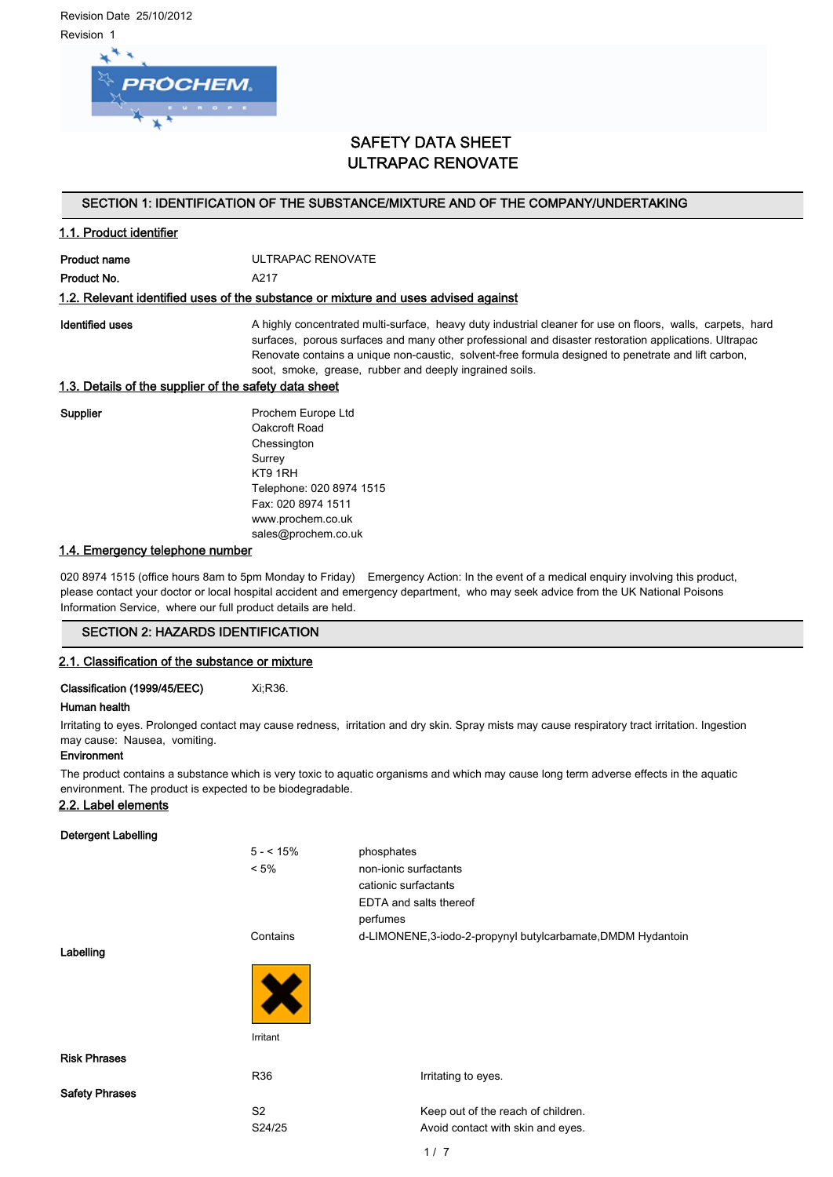Revision Date 25/10/2012 Revision 1



# SAFETY DATA SHEET ULTRAPAC RENOVATE

# SECTION 1: IDENTIFICATION OF THE SUBSTANCE/MIXTURE AND OF THE COMPANY/UNDERTAKING

# 1.1. Product identifier

Product name ULTRAPAC RENOVATE Product No. 4217

#### 1.2. Relevant identified uses of the substance or mixture and uses advised against

Identified uses **A** highly concentrated multi-surface, heavy duty industrial cleaner for use on floors, walls, carpets, hard surfaces, porous surfaces and many other professional and disaster restoration applications. Ultrapac Renovate contains a unique non-caustic, solvent-free formula designed to penetrate and lift carbon, soot, smoke, grease, rubber and deeply ingrained soils.

# 1.3. Details of the supplier of the safety data sheet

Supplier **Prochem Europe Ltd** Oakcroft Road **Chessington** Surrey KT9 1RH Telephone: 020 8974 1515 Fax: 020 8974 1511 www.prochem.co.uk sales@prochem.co.uk

# 1.4. Emergency telephone number

020 8974 1515 (office hours 8am to 5pm Monday to Friday) Emergency Action: In the event of a medical enquiry involving this product, please contact your doctor or local hospital accident and emergency department, who may seek advice from the UK National Poisons Information Service, where our full product details are held.

### SECTION 2: HAZARDS IDENTIFICATION

### 2.1. Classification of the substance or mixture

# Classification (1999/45/EEC) Xi;R36.

## Human health

Irritating to eyes. Prolonged contact may cause redness, irritation and dry skin. Spray mists may cause respiratory tract irritation. Ingestion may cause: Nausea, vomiting.

### Environment

The product contains a substance which is very toxic to aquatic organisms and which may cause long term adverse effects in the aquatic environment. The product is expected to be biodegradable.

### 2.2. Label elements

### Detergent Labelling

| _ _ _ _ _ _ _ _ _ _ _ _ _ _ _ _ |                |                                                             |
|---------------------------------|----------------|-------------------------------------------------------------|
|                                 | $5 - 15%$      | phosphates                                                  |
|                                 | $< 5\%$        | non-ionic surfactants                                       |
|                                 |                | cationic surfactants                                        |
|                                 |                | EDTA and salts thereof                                      |
|                                 |                | perfumes                                                    |
|                                 | Contains       | d-LIMONENE,3-iodo-2-propynyl butylcarbamate, DMDM Hydantoin |
| Labelling                       |                |                                                             |
|                                 |                |                                                             |
|                                 | Irritant       |                                                             |
| <b>Risk Phrases</b>             |                |                                                             |
|                                 | R36            | Irritating to eyes.                                         |
| <b>Safety Phrases</b>           |                |                                                             |
|                                 | S <sub>2</sub> | Keep out of the reach of children.                          |
|                                 | S24/25         | Avoid contact with skin and eyes.                           |
|                                 |                |                                                             |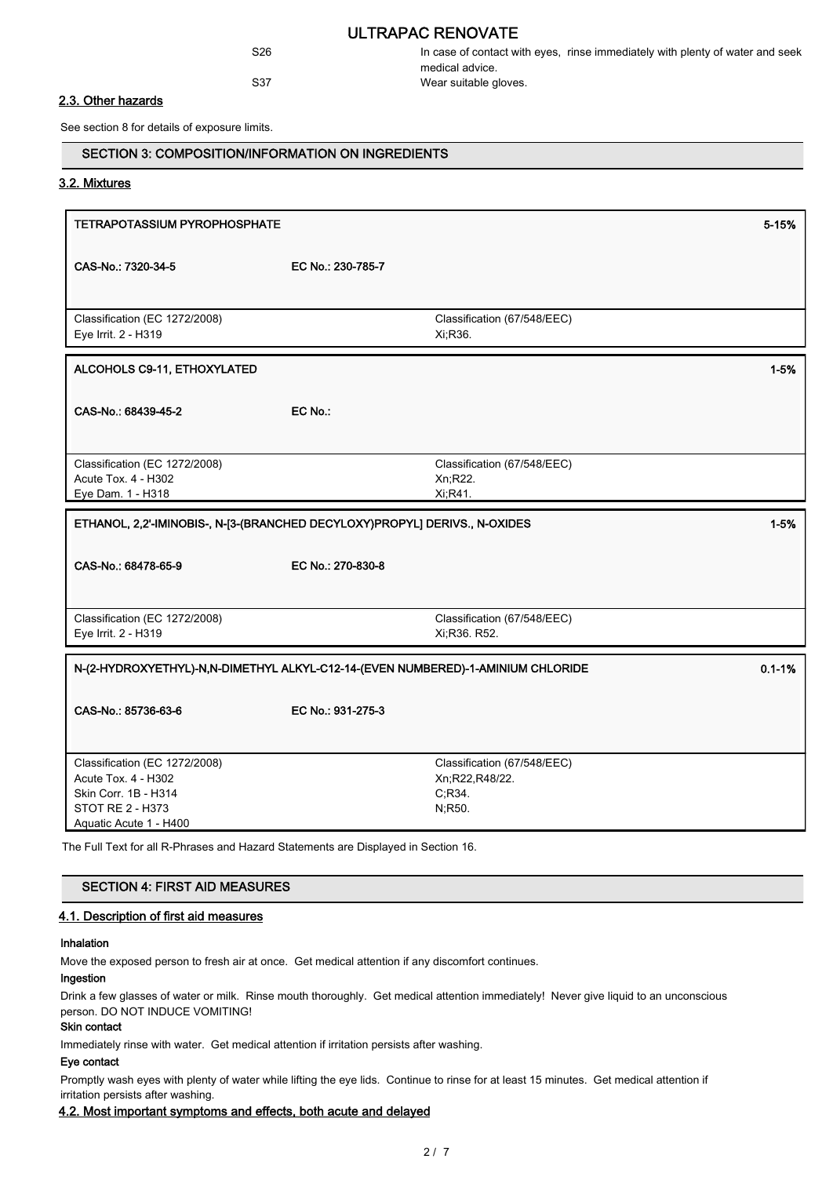# ULTRAPAC RENOVATE

S26 In case of contact with eyes, rinse immediately with plenty of water and seek medical advice. S37 Wear suitable gloves.

## 2.3. Other hazards

See section 8 for details of exposure limits.

# SECTION 3: COMPOSITION/INFORMATION ON INGREDIENTS

#### 3.2. Mixtures

| <b>TETRAPOTASSIUM PYROPHOSPHATE</b>                                                                                               |                   |                                                                    | 5-15%    |  |
|-----------------------------------------------------------------------------------------------------------------------------------|-------------------|--------------------------------------------------------------------|----------|--|
| CAS-No.: 7320-34-5                                                                                                                | EC No.: 230-785-7 |                                                                    |          |  |
| Classification (EC 1272/2008)<br>Eye Irrit. 2 - H319                                                                              |                   | Classification (67/548/EEC)<br>Xi, R36.                            |          |  |
| ALCOHOLS C9-11, ETHOXYLATED                                                                                                       |                   |                                                                    | $1 - 5%$ |  |
| CAS-No.: 68439-45-2                                                                                                               | EC No.:           |                                                                    |          |  |
| Classification (EC 1272/2008)<br>Acute Tox. 4 - H302<br>Eye Dam. 1 - H318                                                         |                   | Classification (67/548/EEC)<br>Xn;R22.<br>Xi, R41.                 |          |  |
| ETHANOL, 2,2'-IMINOBIS-, N-[3-(BRANCHED DECYLOXY)PROPYL] DERIVS., N-OXIDES<br>$1 - 5%$                                            |                   |                                                                    |          |  |
| CAS-No.: 68478-65-9                                                                                                               | EC No.: 270-830-8 |                                                                    |          |  |
| Classification (EC 1272/2008)<br>Eye Irrit. 2 - H319                                                                              |                   | Classification (67/548/EEC)<br>Xi:R36. R52.                        |          |  |
| N-(2-HYDROXYETHYL)-N,N-DIMETHYL ALKYL-C12-14-(EVEN NUMBERED)-1-AMINIUM CHLORIDE<br>$0.1 - 1%$                                     |                   |                                                                    |          |  |
| CAS-No.: 85736-63-6                                                                                                               | EC No.: 931-275-3 |                                                                    |          |  |
| Classification (EC 1272/2008)<br>Acute Tox. 4 - H302<br>Skin Corr. 1B - H314<br><b>STOT RE 2 - H373</b><br>Aquatic Acute 1 - H400 |                   | Classification (67/548/EEC)<br>Xn;R22,R48/22.<br>C.R34.<br>N, R50. |          |  |

The Full Text for all R-Phrases and Hazard Statements are Displayed in Section 16.

# SECTION 4: FIRST AID MEASURES

## 4.1. Description of first aid measures

## Inhalation

Move the exposed person to fresh air at once. Get medical attention if any discomfort continues.

# Ingestion

Drink a few glasses of water or milk. Rinse mouth thoroughly. Get medical attention immediately! Never give liquid to an unconscious person. DO NOT INDUCE VOMITING!

# Skin contact

Immediately rinse with water. Get medical attention if irritation persists after washing.

#### Eye contact

Promptly wash eyes with plenty of water while lifting the eye lids. Continue to rinse for at least 15 minutes. Get medical attention if irritation persists after washing.

### 4.2. Most important symptoms and effects, both acute and delayed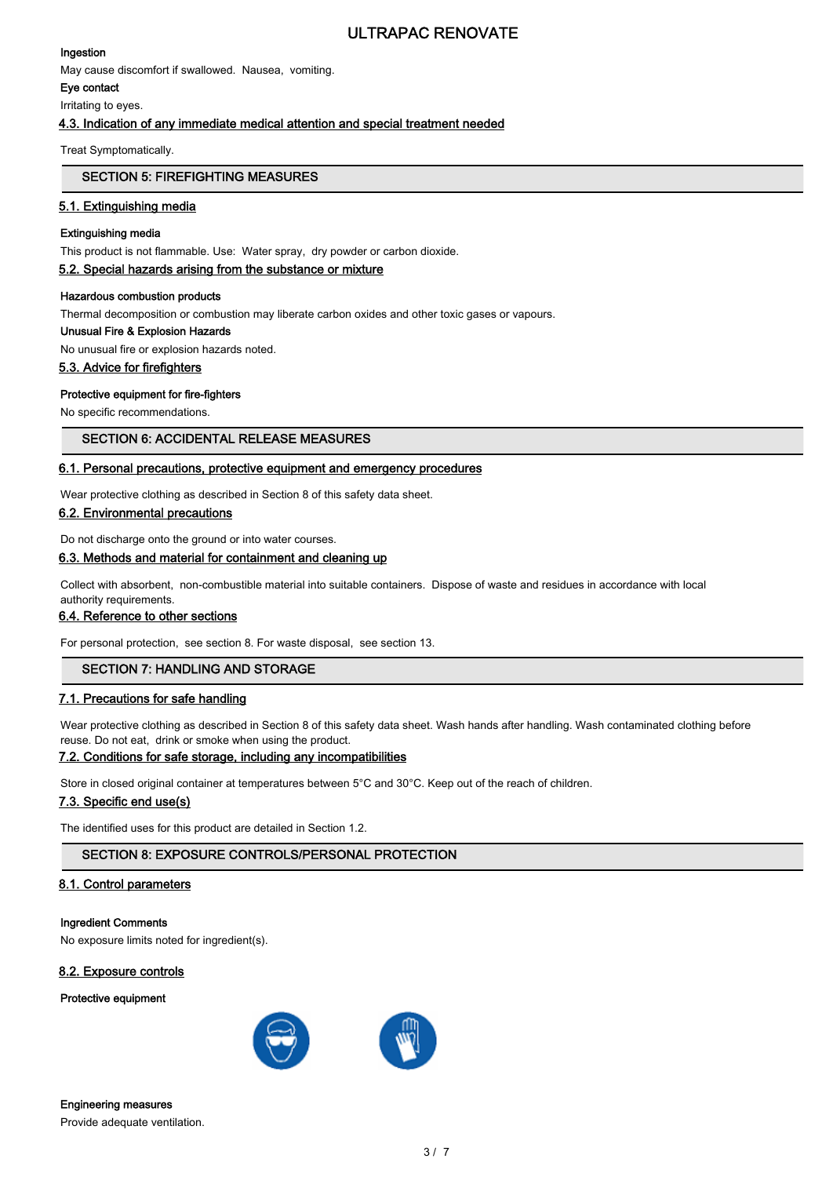# ULTRAPAC RENOVATE

# Ingestion

May cause discomfort if swallowed. Nausea, vomiting.

Eye contact

Irritating to eyes.

# 4.3. Indication of any immediate medical attention and special treatment needed

Treat Symptomatically.

# SECTION 5: FIREFIGHTING MEASURES

# 5.1. Extinguishing media

# Extinguishing media

This product is not flammable. Use: Water spray, dry powder or carbon dioxide.

# 5.2. Special hazards arising from the substance or mixture

### Hazardous combustion products

Thermal decomposition or combustion may liberate carbon oxides and other toxic gases or vapours.

# Unusual Fire & Explosion Hazards

No unusual fire or explosion hazards noted.

# 5.3. Advice for firefighters

# Protective equipment for fire-fighters

No specific recommendations.

# SECTION 6: ACCIDENTAL RELEASE MEASURES

# 6.1. Personal precautions, protective equipment and emergency procedures

Wear protective clothing as described in Section 8 of this safety data sheet.

# 6.2. Environmental precautions

Do not discharge onto the ground or into water courses.

# 6.3. Methods and material for containment and cleaning up

Collect with absorbent, non-combustible material into suitable containers. Dispose of waste and residues in accordance with local authority requirements.

# 6.4. Reference to other sections

For personal protection, see section 8. For waste disposal, see section 13.

# SECTION 7: HANDLING AND STORAGE

# 7.1. Precautions for safe handling

Wear protective clothing as described in Section 8 of this safety data sheet. Wash hands after handling. Wash contaminated clothing before reuse. Do not eat, drink or smoke when using the product.

# 7.2. Conditions for safe storage, including any incompatibilities

Store in closed original container at temperatures between 5°C and 30°C. Keep out of the reach of children.

# 7.3. Specific end use(s)

The identified uses for this product are detailed in Section 1.2.

# SECTION 8: EXPOSURE CONTROLS/PERSONAL PROTECTION

# 8.1. Control parameters

## Ingredient Comments

No exposure limits noted for ingredient(s).

### 8.2. Exposure controls

### Protective equipment



#### Engineering measures

Provide adequate ventilation.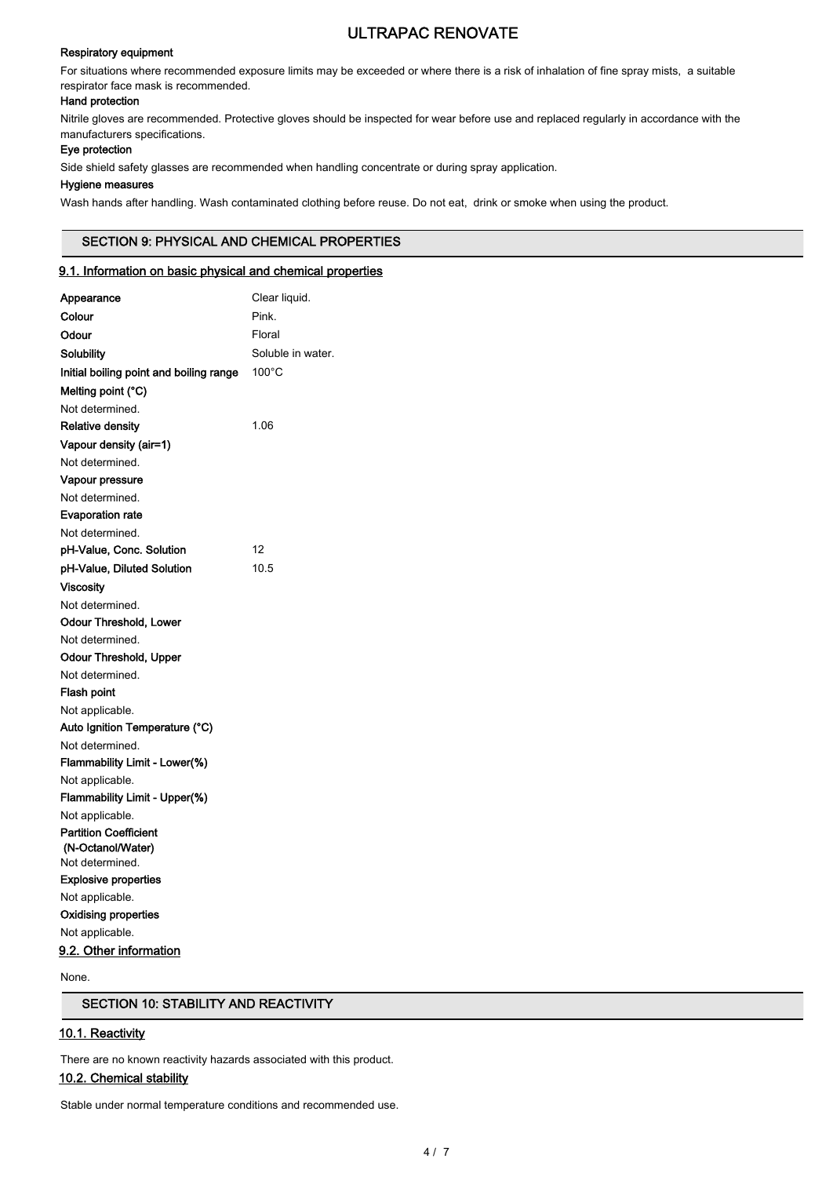# Respiratory equipment

# ULTRAPAC RENOVATE

For situations where recommended exposure limits may be exceeded or where there is a risk of inhalation of fine spray mists, a suitable respirator face mask is recommended.

## Hand protection

Nitrile gloves are recommended. Protective gloves should be inspected for wear before use and replaced regularly in accordance with the manufacturers specifications.

# Eye protection

Side shield safety glasses are recommended when handling concentrate or during spray application.

# Hygiene measures

Wash hands after handling. Wash contaminated clothing before reuse. Do not eat, drink or smoke when using the product.

# SECTION 9: PHYSICAL AND CHEMICAL PROPERTIES

# 9.1. Information on basic physical and chemical properties

| Appearance                              | Clear liquid.     |
|-----------------------------------------|-------------------|
| Colour                                  | Pink.             |
| Odour                                   | Floral            |
| Solubility                              | Soluble in water. |
| Initial boiling point and boiling range | 100°C             |
| Melting point (°C)                      |                   |
| Not determined.                         |                   |
| <b>Relative density</b>                 | 1.06              |
| Vapour density (air=1)                  |                   |
| Not determined.                         |                   |
| Vapour pressure                         |                   |
| Not determined.                         |                   |
| <b>Evaporation rate</b>                 |                   |
| Not determined.                         |                   |
| pH-Value, Conc. Solution                | 12                |
| pH-Value, Diluted Solution              | 10.5              |
| <b>Viscosity</b>                        |                   |
| Not determined.                         |                   |
| <b>Odour Threshold, Lower</b>           |                   |
| Not determined.                         |                   |
| Odour Threshold, Upper                  |                   |
| Not determined.                         |                   |
| Flash point                             |                   |
| Not applicable.                         |                   |
| Auto Ignition Temperature (°C)          |                   |
| Not determined.                         |                   |
| Flammability Limit - Lower(%)           |                   |
| Not applicable.                         |                   |
| Flammability Limit - Upper(%)           |                   |
| Not applicable.                         |                   |
| <b>Partition Coefficient</b>            |                   |
| (N-Octanol/Water)<br>Not determined.    |                   |
| <b>Explosive properties</b>             |                   |
| Not applicable.                         |                   |
| <b>Oxidising properties</b>             |                   |
| Not applicable.                         |                   |
| 9.2. Other information                  |                   |
|                                         |                   |

None.

# SECTION 10: STABILITY AND REACTIVITY

# 10.1. Reactivity

There are no known reactivity hazards associated with this product.

# 10.2. Chemical stability

Stable under normal temperature conditions and recommended use.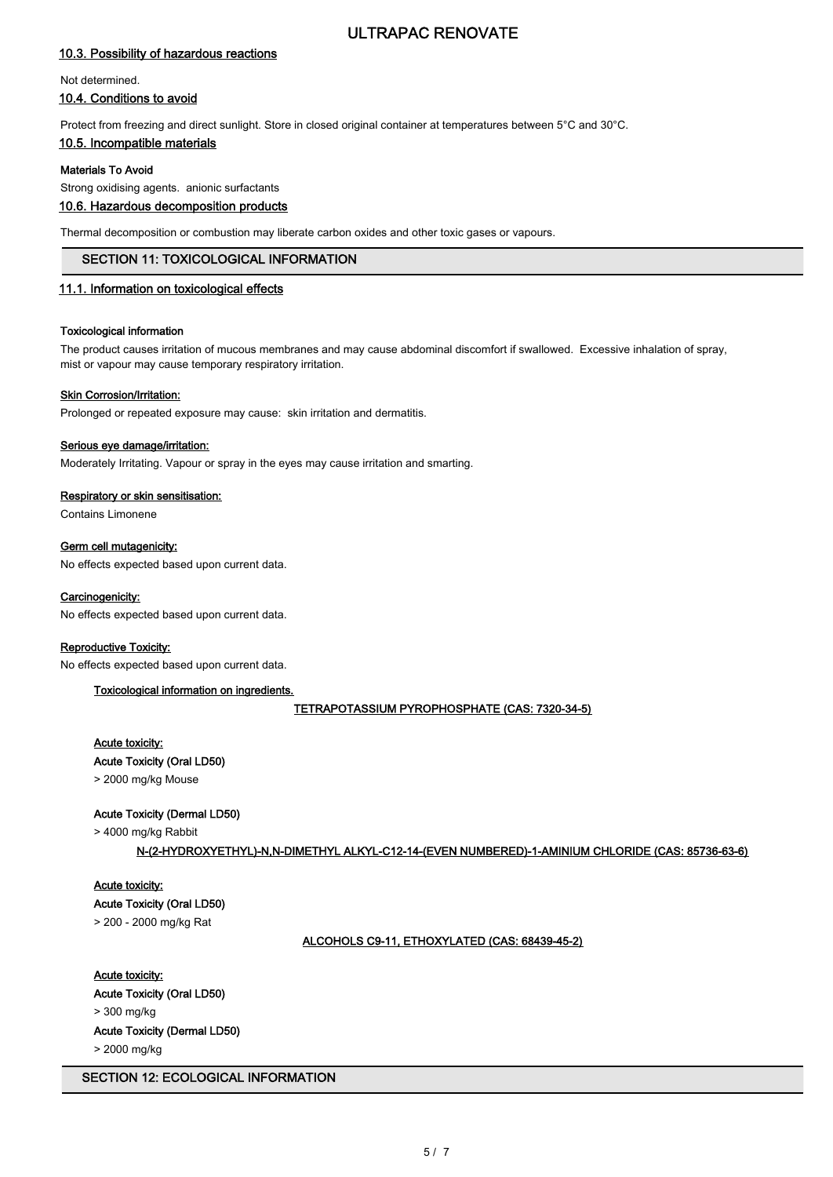# ULTRAPAC RENOVATE

# 10.3. Possibility of hazardous reactions

#### Not determined.

# 10.4. Conditions to avoid

Protect from freezing and direct sunlight. Store in closed original container at temperatures between 5°C and 30°C.

# 10.5. Incompatible materials

# Materials To Avoid

Strong oxidising agents. anionic surfactants

# 10.6. Hazardous decomposition products

Thermal decomposition or combustion may liberate carbon oxides and other toxic gases or vapours.

#### SECTION 11: TOXICOLOGICAL INFORMATION

### 11.1. Information on toxicological effects

#### Toxicological information

The product causes irritation of mucous membranes and may cause abdominal discomfort if swallowed. Excessive inhalation of spray, mist or vapour may cause temporary respiratory irritation.

#### Skin Corrosion/Irritation:

Prolonged or repeated exposure may cause: skin irritation and dermatitis.

#### Serious eye damage/irritation:

Moderately Irritating. Vapour or spray in the eyes may cause irritation and smarting.

#### Respiratory or skin sensitisation:

Contains Limonene

#### Germ cell mutagenicity:

No effects expected based upon current data.

#### Carcinogenicity:

No effects expected based upon current data.

### Reproductive Toxicity:

No effects expected based upon current data.

### Toxicological information on ingredients.

TETRAPOTASSIUM PYROPHOSPHATE (CAS: 7320-34-5)

#### Acute toxicity:

## Acute Toxicity (Oral LD50)

> 2000 mg/kg Mouse

### Acute Toxicity (Dermal LD50)

> 4000 mg/kg Rabbit

### N-(2-HYDROXYETHYL)-N,N-DIMETHYL ALKYL-C12-14-(EVEN NUMBERED)-1-AMINIUM CHLORIDE (CAS: 85736-63-6)

# Acute toxicity:

Acute Toxicity (Oral LD50)

> 200 - 2000 mg/kg Rat

# ALCOHOLS C9-11, ETHOXYLATED (CAS: 68439-45-2)

### Acute toxicity:

Acute Toxicity (Oral LD50)

> 300 mg/kg

Acute Toxicity (Dermal LD50)

> 2000 mg/kg

### SECTION 12: ECOLOGICAL INFORMATION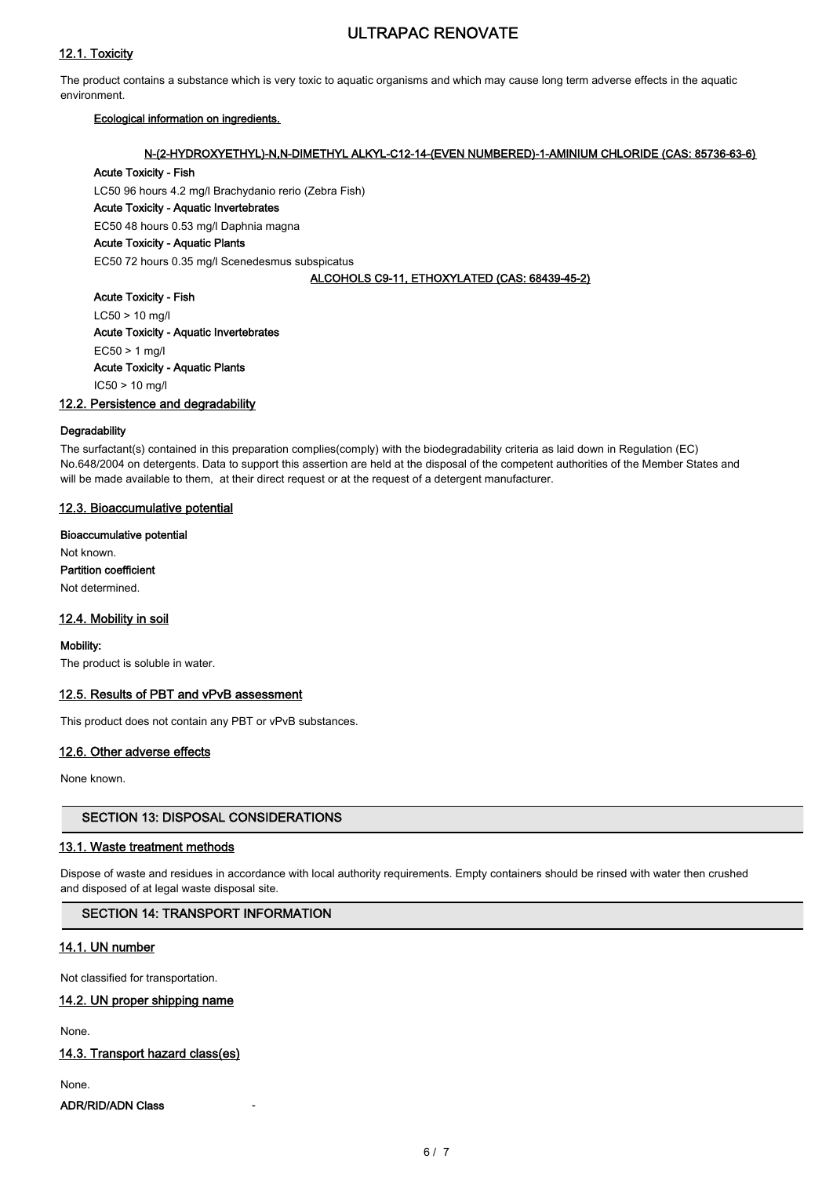# 12.1. Toxicity

# ULTRAPAC RENOVATE

The product contains a substance which is very toxic to aquatic organisms and which may cause long term adverse effects in the aquatic environment.

## Ecological information on ingredients.

## N-(2-HYDROXYETHYL)-N,N-DIMETHYL ALKYL-C12-14-(EVEN NUMBERED)-1-AMINIUM CHLORIDE (CAS: 85736-63-6)

### Acute Toxicity - Fish

LC50 96 hours 4.2 mg/l Brachydanio rerio (Zebra Fish)

Acute Toxicity - Aquatic Invertebrates

EC50 48 hours 0.53 mg/l Daphnia magna

# Acute Toxicity - Aquatic Plants

EC50 72 hours 0.35 mg/l Scenedesmus subspicatus

### ALCOHOLS C9-11, ETHOXYLATED (CAS: 68439-45-2)

Acute Toxicity - Fish LC50 > 10 mg/l Acute Toxicity - Aquatic Invertebrates EC50 > 1 mg/l Acute Toxicity - Aquatic Plants IC50 > 10 mg/l

### 12.2. Persistence and degradability

### **Degradability**

The surfactant(s) contained in this preparation complies(comply) with the biodegradability criteria as laid down in Regulation (EC) No.648/2004 on detergents. Data to support this assertion are held at the disposal of the competent authorities of the Member States and will be made available to them, at their direct request or at the request of a detergent manufacturer.

# 12.3. Bioaccumulative potential

Bioaccumulative potential Not known. Partition coefficient

Not determined.

### 12.4. Mobility in soil

Mobility:

The product is soluble in water.

### 12.5. Results of PBT and vPvB assessment

This product does not contain any PBT or vPvB substances.

### 12.6. Other adverse effects

None known.

# SECTION 13: DISPOSAL CONSIDERATIONS

### 13.1. Waste treatment methods

Dispose of waste and residues in accordance with local authority requirements. Empty containers should be rinsed with water then crushed and disposed of at legal waste disposal site.

### SECTION 14: TRANSPORT INFORMATION

# 14.1. UN number

Not classified for transportation.

### 14.2. UN proper shipping name

None.

### 14.3. Transport hazard class(es)

None.

ADR/RID/ADN Class